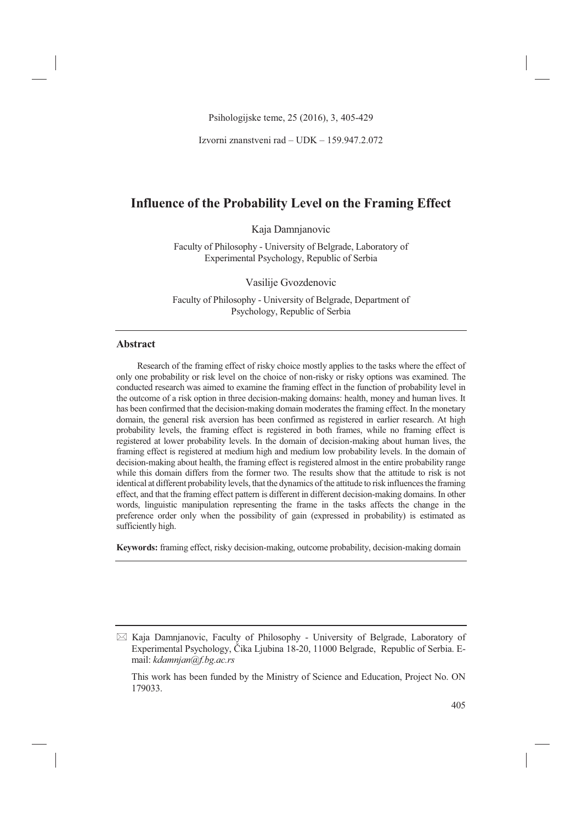Psihologijske teme, 25 (2016), 3, 405-429

Izvorni znanstveni rad – UDK – 159.947.2.072

# **Influence of the Probability Level on the Framing Effect**

Kaja Damnjanovic

Faculty of Philosophy - University of Belgrade, Laboratory of Experimental Psychology, Republic of Serbia

Vasilije Gvozdenovic

Faculty of Philosophy - University of Belgrade, Department of Psychology, Republic of Serbia

### **Abstract**

Research of the framing effect of risky choice mostly applies to the tasks where the effect of only one probability or risk level on the choice of non-risky or risky options was examined. The conducted research was aimed to examine the framing effect in the function of probability level in the outcome of a risk option in three decision-making domains: health, money and human lives. It has been confirmed that the decision-making domain moderates the framing effect. In the monetary domain, the general risk aversion has been confirmed as registered in earlier research. At high probability levels, the framing effect is registered in both frames, while no framing effect is registered at lower probability levels. In the domain of decision-making about human lives, the framing effect is registered at medium high and medium low probability levels. In the domain of decision-making about health, the framing effect is registered almost in the entire probability range while this domain differs from the former two. The results show that the attitude to risk is not identical at different probability levels, that the dynamics of the attitude to risk influences the framing effect, and that the framing effect pattern is different in different decision-making domains. In other words, linguistic manipulation representing the frame in the tasks affects the change in the preference order only when the possibility of gain (expressed in probability) is estimated as sufficiently high.

**Keywords:** framing effect, risky decision-making, outcome probability, decision-making domain

- Kaja Damnjanovic, Faculty of Philosophy - University of Belgrade, Laboratory of Experimental Psychology, Čika Ljubina 18-20, 11000 Belgrade, Republic of Serbia. Email: *kdamnjan@f.bg.ac.rs*

This work has been funded by the Ministry of Science and Education, Project No. ON 179033.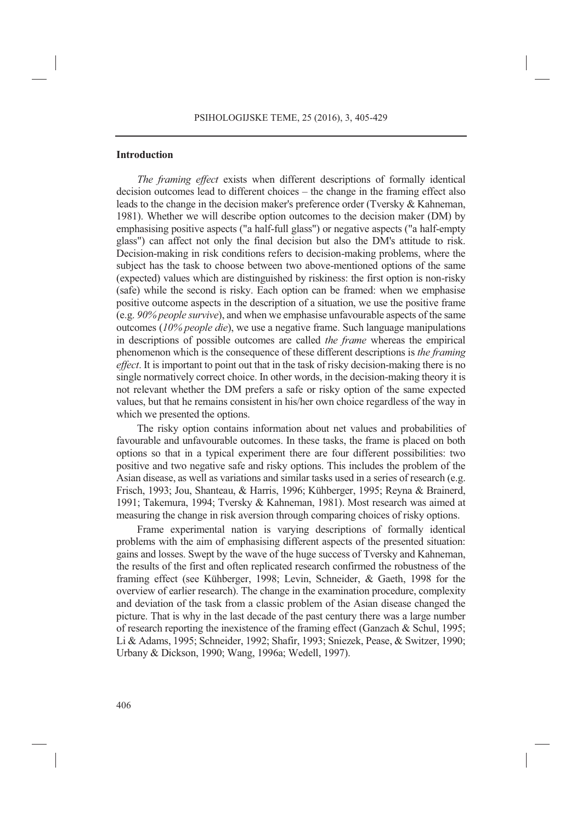#### **Introduction**

*The framing effect* exists when different descriptions of formally identical decision outcomes lead to different choices – the change in the framing effect also leads to the change in the decision maker's preference order (Tversky & Kahneman, 1981). Whether we will describe option outcomes to the decision maker (DM) by emphasising positive aspects ("a half-full glass") or negative aspects ("a half-empty glass") can affect not only the final decision but also the DM's attitude to risk. Decision-making in risk conditions refers to decision-making problems, where the subject has the task to choose between two above-mentioned options of the same (expected) values which are distinguished by riskiness: the first option is non-risky (safe) while the second is risky. Each option can be framed: when we emphasise positive outcome aspects in the description of a situation, we use the positive frame (e.g. *90% people survive*), and when we emphasise unfavourable aspects of the same outcomes (*10% people die*), we use a negative frame. Such language manipulations in descriptions of possible outcomes are called *the frame* whereas the empirical phenomenon which is the consequence of these different descriptions is *the framing effect*. It is important to point out that in the task of risky decision-making there is no single normatively correct choice. In other words, in the decision-making theory it is not relevant whether the DM prefers a safe or risky option of the same expected values, but that he remains consistent in his/her own choice regardless of the way in which we presented the options.

The risky option contains information about net values and probabilities of favourable and unfavourable outcomes. In these tasks, the frame is placed on both options so that in a typical experiment there are four different possibilities: two positive and two negative safe and risky options. This includes the problem of the Asian disease, as well as variations and similar tasks used in a series of research (e.g. Frisch, 1993; Jou, Shanteau, & Harris, 1996; Kühberger, 1995; Reyna & Brainerd, 1991; Takemura, 1994; Tversky & Kahneman, 1981). Most research was aimed at measuring the change in risk aversion through comparing choices of risky options.

Frame experimental nation is varying descriptions of formally identical problems with the aim of emphasising different aspects of the presented situation: gains and losses. Swept by the wave of the huge success of Tversky and Kahneman, the results of the first and often replicated research confirmed the robustness of the framing effect (see Kühberger, 1998; Levin, Schneider, & Gaeth, 1998 for the overview of earlier research). The change in the examination procedure, complexity and deviation of the task from a classic problem of the Asian disease changed the picture. That is why in the last decade of the past century there was a large number of research reporting the inexistence of the framing effect (Ganzach & Schul, 1995; Li & Adams, 1995; Schneider, 1992; Shafir, 1993; Sniezek, Pease, & Switzer, 1990; Urbany & Dickson, 1990; Wang, 1996a; Wedell, 1997).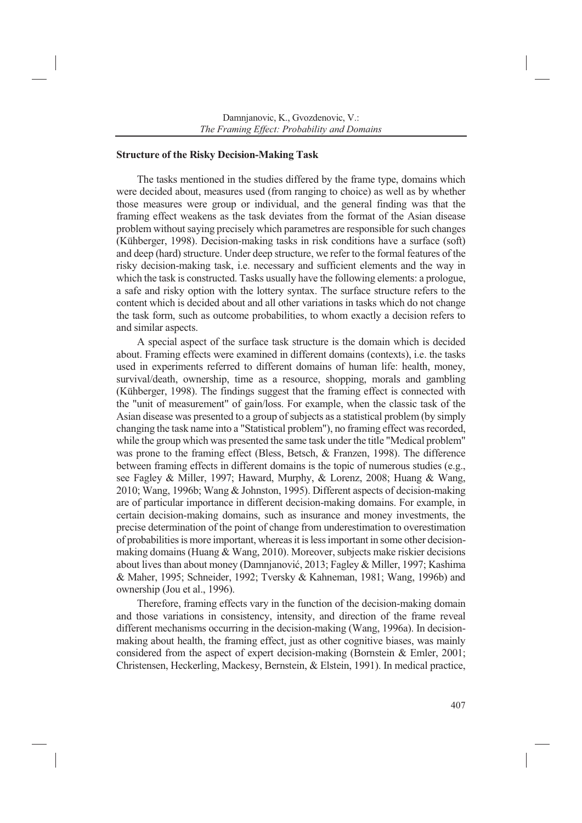#### **Structure of the Risky Decision-Making Task**

The tasks mentioned in the studies differed by the frame type, domains which were decided about, measures used (from ranging to choice) as well as by whether those measures were group or individual, and the general finding was that the framing effect weakens as the task deviates from the format of the Asian disease problem without saying precisely which parametres are responsible for such changes (Kühberger, 1998). Decision-making tasks in risk conditions have a surface (soft) and deep (hard) structure. Under deep structure, we refer to the formal features of the risky decision-making task, i.e. necessary and sufficient elements and the way in which the task is constructed. Tasks usually have the following elements: a prologue, a safe and risky option with the lottery syntax. The surface structure refers to the content which is decided about and all other variations in tasks which do not change the task form, such as outcome probabilities, to whom exactly a decision refers to and similar aspects.

A special aspect of the surface task structure is the domain which is decided about. Framing effects were examined in different domains (contexts), i.e. the tasks used in experiments referred to different domains of human life: health, money, survival/death, ownership, time as a resource, shopping, morals and gambling (Kühberger, 1998). The findings suggest that the framing effect is connected with the "unit of measurement" of gain/loss. For example, when the classic task of the Asian disease was presented to a group of subjects as a statistical problem (by simply changing the task name into a "Statistical problem"), no framing effect was recorded, while the group which was presented the same task under the title "Medical problem" was prone to the framing effect (Bless, Betsch, & Franzen, 1998). The difference between framing effects in different domains is the topic of numerous studies (e.g., see Fagley & Miller, 1997; Haward, Murphy, & Lorenz, 2008; Huang & Wang, 2010; Wang, 1996b; Wang & Johnston, 1995). Different aspects of decision-making are of particular importance in different decision-making domains. For example, in certain decision-making domains, such as insurance and money investments, the precise determination of the point of change from underestimation to overestimation of probabilities is more important, whereas it is less important in some other decisionmaking domains (Huang & Wang, 2010). Moreover, subjects make riskier decisions about lives than about money (Damnjanović, 2013; Fagley & Miller, 1997; Kashima & Maher, 1995; Schneider, 1992; Tversky & Kahneman, 1981; Wang, 1996b) and ownership (Jou et al., 1996).

Therefore, framing effects vary in the function of the decision-making domain and those variations in consistency, intensity, and direction of the frame reveal different mechanisms occurring in the decision-making (Wang, 1996a). In decisionmaking about health, the framing effect, just as other cognitive biases, was mainly considered from the aspect of expert decision-making (Bornstein & Emler, 2001; Christensen, Heckerling, Mackesy, Bernstein, & Elstein, 1991). In medical practice,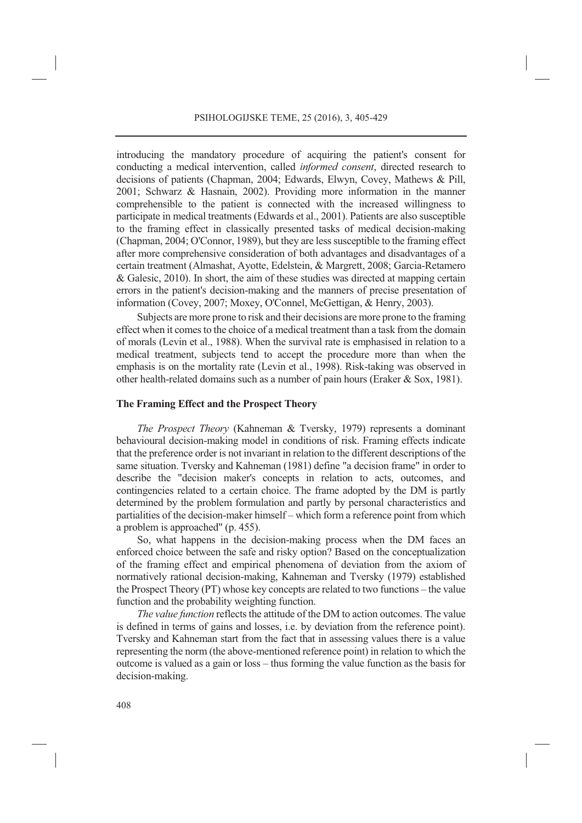introducing the mandatory procedure of acquiring the patient's consent for conducting a medical intervention, called *informed consent*, directed research to decisions of patients (Chapman, 2004; Edwards, Elwyn, Covey, Mathews & Pill, 2001; Schwarz & Hasnain, 2002). Providing more information in the manner comprehensible to the patient is connected with the increased willingness to participate in medical treatments (Edwards et al., 2001). Patients are also susceptible to the framing effect in classically presented tasks of medical decision-making (Chapman, 2004; O'Connor, 1989), but they are less susceptible to the framing effect after more comprehensive consideration of both advantages and disadvantages of a certain treatment (Almashat, Ayotte, Edelstein, & Margrett, 2008; Garcia-Retamero & Galesic, 2010). In short, the aim of these studies was directed at mapping certain errors in the patient's decision-making and the manners of precise presentation of information (Covey, 2007; Moxey, O'Connel, McGettigan, & Henry, 2003).

Subjects are more prone to risk and their decisions are more prone to the framing effect when it comes to the choice of a medical treatment than a task from the domain of morals (Levin et al., 1988). When the survival rate is emphasised in relation to a medical treatment, subjects tend to accept the procedure more than when the emphasis is on the mortality rate (Levin et al., 1998). Risk-taking was observed in other health-related domains such as a number of pain hours (Eraker & Sox, 1981).

#### **The Framing Effect and the Prospect Theory**

*The Prospect Theory* (Kahneman & Tversky, 1979) represents a dominant behavioural decision-making model in conditions of risk. Framing effects indicate that the preference order is not invariant in relation to the different descriptions of the same situation. Tversky and Kahneman (1981) define "a decision frame" in order to describe the "decision maker's concepts in relation to acts, outcomes, and contingencies related to a certain choice. The frame adopted by the DM is partly determined by the problem formulation and partly by personal characteristics and partialities of the decision-maker himself – which form a reference point from which a problem is approached" (p. 455).

So, what happens in the decision-making process when the DM faces an enforced choice between the safe and risky option? Based on the conceptualization of the framing effect and empirical phenomena of deviation from the axiom of normatively rational decision-making, Kahneman and Tversky (1979) established the Prospect Theory (PT) whose key concepts are related to two functions – the value function and the probability weighting function.

*The value function* reflects the attitude of the DM to action outcomes. The value is defined in terms of gains and losses, i.e. by deviation from the reference point). Tversky and Kahneman start from the fact that in assessing values there is a value representing the norm (the above-mentioned reference point) in relation to which the outcome is valued as a gain or loss – thus forming the value function as the basis for decision-making.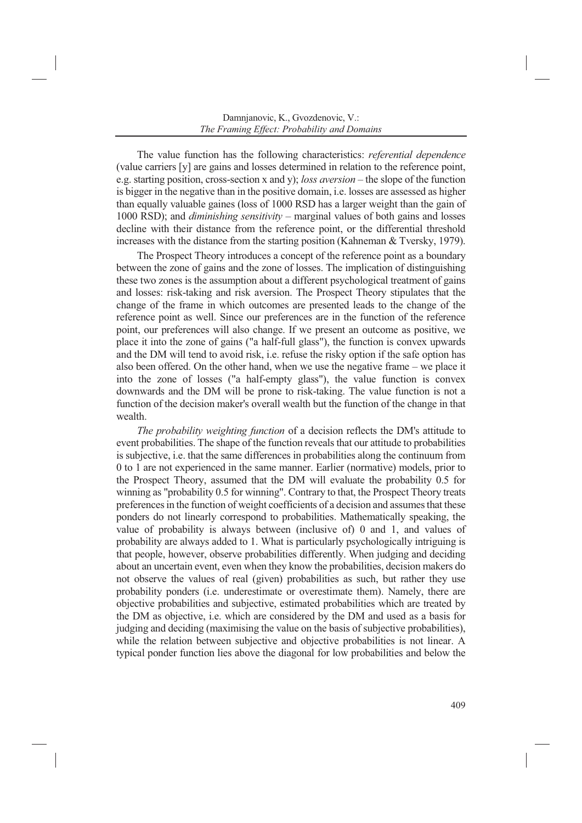The value function has the following characteristics: *referential dependence* (value carriers [y] are gains and losses determined in relation to the reference point, e.g. starting position, cross-section x and y); *loss aversion* – the slope of the function is bigger in the negative than in the positive domain, i.e. losses are assessed as higher than equally valuable gaines (loss of 1000 RSD has a larger weight than the gain of 1000 RSD); and *diminishing sensitivity* – marginal values of both gains and losses decline with their distance from the reference point, or the differential threshold increases with the distance from the starting position (Kahneman & Tversky, 1979).

The Prospect Theory introduces a concept of the reference point as a boundary between the zone of gains and the zone of losses. The implication of distinguishing these two zones is the assumption about a different psychological treatment of gains and losses: risk-taking and risk aversion. The Prospect Theory stipulates that the change of the frame in which outcomes are presented leads to the change of the reference point as well. Since our preferences are in the function of the reference point, our preferences will also change. If we present an outcome as positive, we place it into the zone of gains ("a half-full glass"), the function is convex upwards and the DM will tend to avoid risk, i.e. refuse the risky option if the safe option has also been offered. On the other hand, when we use the negative frame – we place it into the zone of losses ("a half-empty glass"), the value function is convex downwards and the DM will be prone to risk-taking. The value function is not a function of the decision maker's overall wealth but the function of the change in that wealth.

*The probability weighting function* of a decision reflects the DM's attitude to event probabilities. The shape of the function reveals that our attitude to probabilities is subjective, i.e. that the same differences in probabilities along the continuum from 0 to 1 are not experienced in the same manner. Earlier (normative) models, prior to the Prospect Theory, assumed that the DM will evaluate the probability 0.5 for winning as "probability 0.5 for winning". Contrary to that, the Prospect Theory treats preferences in the function of weight coefficients of a decision and assumes that these ponders do not linearly correspond to probabilities. Mathematically speaking, the value of probability is always between (inclusive of) 0 and 1, and values of probability are always added to 1. What is particularly psychologically intriguing is that people, however, observe probabilities differently. When judging and deciding about an uncertain event, even when they know the probabilities, decision makers do not observe the values of real (given) probabilities as such, but rather they use probability ponders (i.e. underestimate or overestimate them). Namely, there are objective probabilities and subjective, estimated probabilities which are treated by the DM as objective, i.e. which are considered by the DM and used as a basis for judging and deciding (maximising the value on the basis of subjective probabilities), while the relation between subjective and objective probabilities is not linear. A typical ponder function lies above the diagonal for low probabilities and below the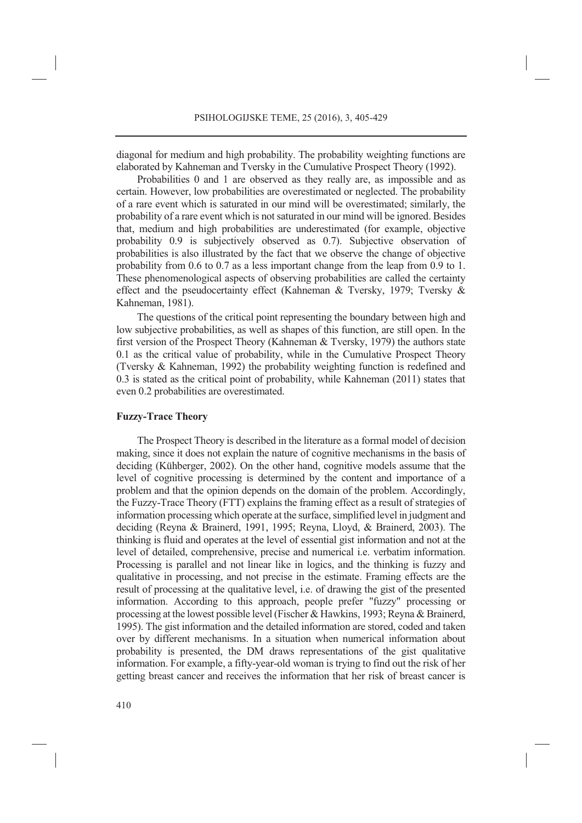diagonal for medium and high probability. The probability weighting functions are elaborated by Kahneman and Tversky in the Cumulative Prospect Theory (1992).

Probabilities 0 and 1 are observed as they really are, as impossible and as certain. However, low probabilities are overestimated or neglected. The probability of a rare event which is saturated in our mind will be overestimated; similarly, the probability of a rare event which is not saturated in our mind will be ignored. Besides that, medium and high probabilities are underestimated (for example, objective probability 0.9 is subjectively observed as 0.7). Subjective observation of probabilities is also illustrated by the fact that we observe the change of objective probability from 0.6 to 0.7 as a less important change from the leap from 0.9 to 1. These phenomenological aspects of observing probabilities are called the certainty effect and the pseudocertainty effect (Kahneman & Tversky, 1979; Tversky & Kahneman, 1981).

The questions of the critical point representing the boundary between high and low subjective probabilities, as well as shapes of this function, are still open. In the first version of the Prospect Theory (Kahneman & Tversky, 1979) the authors state 0.1 as the critical value of probability, while in the Cumulative Prospect Theory (Tversky & Kahneman, 1992) the probability weighting function is redefined and 0.3 is stated as the critical point of probability, while Kahneman (2011) states that even 0.2 probabilities are overestimated.

#### **Fuzzy-Trace Theory**

The Prospect Theory is described in the literature as a formal model of decision making, since it does not explain the nature of cognitive mechanisms in the basis of deciding (Kühberger, 2002). On the other hand, cognitive models assume that the level of cognitive processing is determined by the content and importance of a problem and that the opinion depends on the domain of the problem. Accordingly, the Fuzzy-Trace Theory (FTT) explains the framing effect as a result of strategies of information processing which operate at the surface, simplified level in judgment and deciding (Reyna & Brainerd, 1991, 1995; Reyna, Lloyd, & Brainerd, 2003). The thinking is fluid and operates at the level of essential gist information and not at the level of detailed, comprehensive, precise and numerical i.e. verbatim information. Processing is parallel and not linear like in logics, and the thinking is fuzzy and qualitative in processing, and not precise in the estimate. Framing effects are the result of processing at the qualitative level, i.e. of drawing the gist of the presented information. According to this approach, people prefer "fuzzy" processing or processing at the lowest possible level (Fischer & Hawkins, 1993; Reyna & Brainerd, 1995). The gist information and the detailed information are stored, coded and taken over by different mechanisms. In a situation when numerical information about probability is presented, the DM draws representations of the gist qualitative information. For example, a fifty-year-old woman is trying to find out the risk of her getting breast cancer and receives the information that her risk of breast cancer is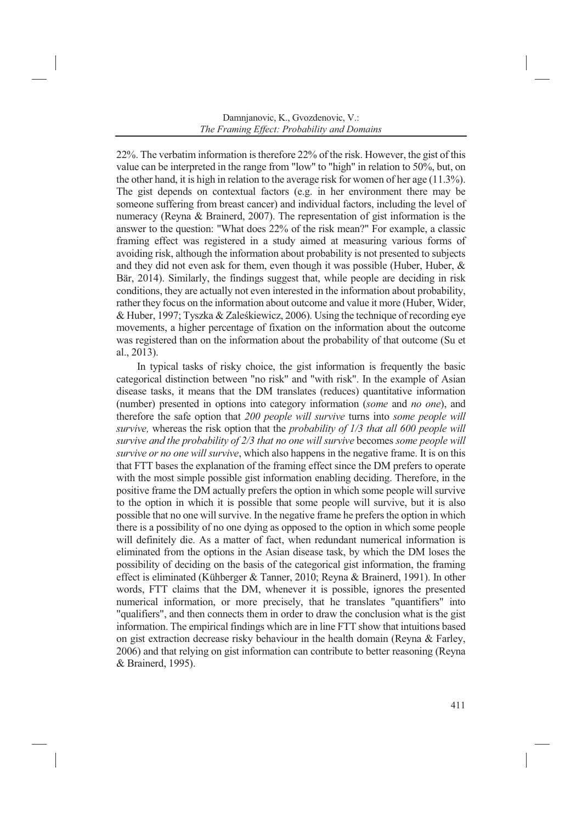22%. The verbatim information is therefore 22% of the risk. However, the gist of this value can be interpreted in the range from "low" to "high" in relation to 50%, but, on the other hand, it is high in relation to the average risk for women of her age (11.3%). The gist depends on contextual factors (e.g. in her environment there may be someone suffering from breast cancer) and individual factors, including the level of numeracy (Reyna & Brainerd, 2007). The representation of gist information is the answer to the question: "What does 22% of the risk mean?" For example, a classic framing effect was registered in a study aimed at measuring various forms of avoiding risk, although the information about probability is not presented to subjects and they did not even ask for them, even though it was possible (Huber, Huber,  $\&$ Bär, 2014). Similarly, the findings suggest that, while people are deciding in risk conditions, they are actually not even interested in the information about probability, rather they focus on the information about outcome and value it more (Huber, Wider, & Huber, 1997; Tyszka & Zaleśkiewicz, 2006). Using the technique of recording eye movements, a higher percentage of fixation on the information about the outcome was registered than on the information about the probability of that outcome (Su et al., 2013).

In typical tasks of risky choice, the gist information is frequently the basic categorical distinction between "no risk" and "with risk". In the example of Asian disease tasks, it means that the DM translates (reduces) quantitative information (number) presented in options into category information (*some* and *no one*), and therefore the safe option that *200 people will survive* turns into *some people will survive,* whereas the risk option that the *probability of 1/3 that all 600 people will survive and the probability of 2/3 that no one will survive* becomes *some people will survive or no one will survive*, which also happens in the negative frame. It is on this that FTT bases the explanation of the framing effect since the DM prefers to operate with the most simple possible gist information enabling deciding. Therefore, in the positive frame the DM actually prefers the option in which some people will survive to the option in which it is possible that some people will survive, but it is also possible that no one will survive. In the negative frame he prefers the option in which there is a possibility of no one dying as opposed to the option in which some people will definitely die. As a matter of fact, when redundant numerical information is eliminated from the options in the Asian disease task, by which the DM loses the possibility of deciding on the basis of the categorical gist information, the framing effect is eliminated (Kühberger & Tanner, 2010; Reyna & Brainerd, 1991). In other words, FTT claims that the DM, whenever it is possible, ignores the presented numerical information, or more precisely, that he translates "quantifiers" into "qualifiers", and then connects them in order to draw the conclusion what is the gist information. The empirical findings which are in line FTT show that intuitions based on gist extraction decrease risky behaviour in the health domain (Reyna & Farley, 2006) and that relying on gist information can contribute to better reasoning (Reyna & Brainerd, 1995).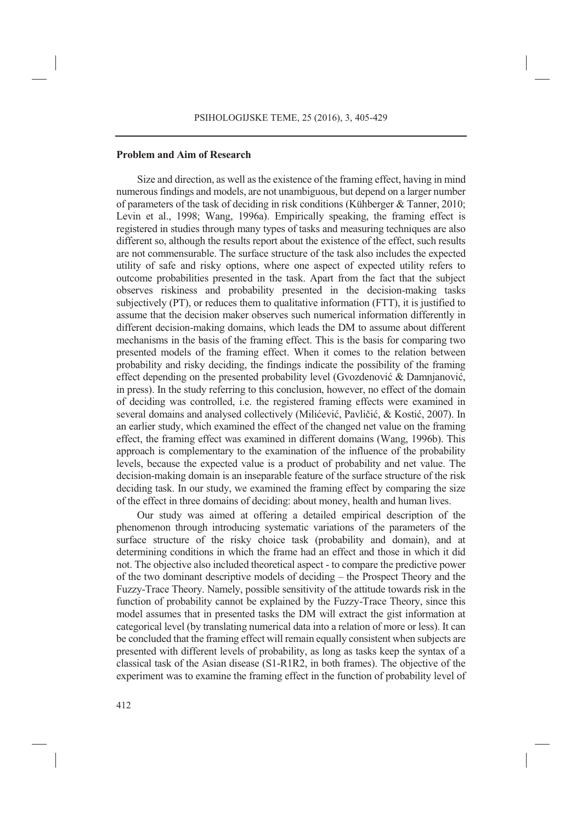### **Problem and Aim of Research**

Size and direction, as well as the existence of the framing effect, having in mind numerous findings and models, are not unambiguous, but depend on a larger number of parameters of the task of deciding in risk conditions (Kühberger & Tanner, 2010; Levin et al., 1998; Wang, 1996a). Empirically speaking, the framing effect is registered in studies through many types of tasks and measuring techniques are also different so, although the results report about the existence of the effect, such results are not commensurable. The surface structure of the task also includes the expected utility of safe and risky options, where one aspect of expected utility refers to outcome probabilities presented in the task. Apart from the fact that the subject observes riskiness and probability presented in the decision-making tasks subjectively (PT), or reduces them to qualitative information (FTT), it is justified to assume that the decision maker observes such numerical information differently in different decision-making domains, which leads the DM to assume about different mechanisms in the basis of the framing effect. This is the basis for comparing two presented models of the framing effect. When it comes to the relation between probability and risky deciding, the findings indicate the possibility of the framing effect depending on the presented probability level (Gvozdenović & Damnjanović, in press). In the study referring to this conclusion, however, no effect of the domain of deciding was controlled, i.e. the registered framing effects were examined in several domains and analysed collectively (Milićević, Pavličić, & Kostić, 2007). In an earlier study, which examined the effect of the changed net value on the framing effect, the framing effect was examined in different domains (Wang, 1996b). This approach is complementary to the examination of the influence of the probability levels, because the expected value is a product of probability and net value. The decision-making domain is an inseparable feature of the surface structure of the risk deciding task. In our study, we examined the framing effect by comparing the size of the effect in three domains of deciding: about money, health and human lives.

Our study was aimed at offering a detailed empirical description of the phenomenon through introducing systematic variations of the parameters of the surface structure of the risky choice task (probability and domain), and at determining conditions in which the frame had an effect and those in which it did not. The objective also included theoretical aspect - to compare the predictive power of the two dominant descriptive models of deciding – the Prospect Theory and the Fuzzy-Trace Theory. Namely, possible sensitivity of the attitude towards risk in the function of probability cannot be explained by the Fuzzy-Trace Theory, since this model assumes that in presented tasks the DM will extract the gist information at categorical level (by translating numerical data into a relation of more or less). It can be concluded that the framing effect will remain equally consistent when subjects are presented with different levels of probability, as long as tasks keep the syntax of a classical task of the Asian disease (S1-R1R2, in both frames). The objective of the experiment was to examine the framing effect in the function of probability level of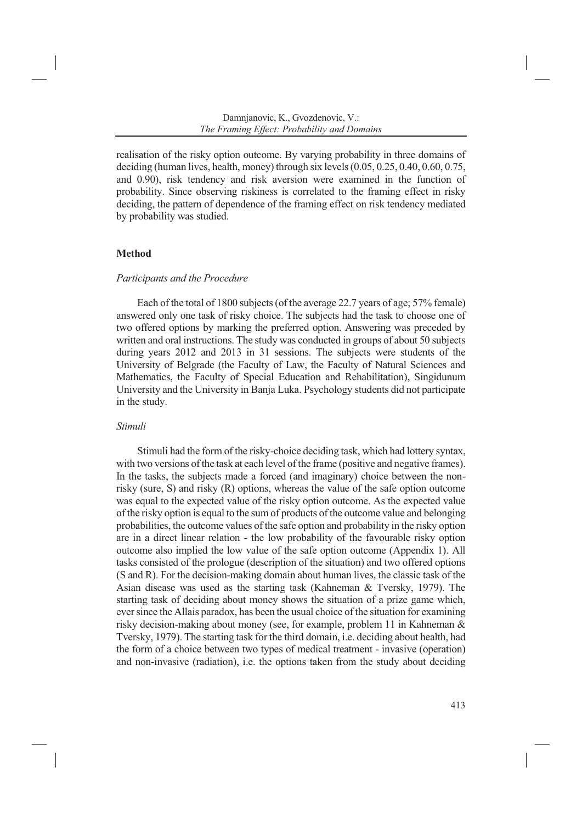realisation of the risky option outcome. By varying probability in three domains of deciding (human lives, health, money) through six levels (0.05, 0.25, 0.40, 0.60, 0.75, and 0.90), risk tendency and risk aversion were examined in the function of probability. Since observing riskiness is correlated to the framing effect in risky deciding, the pattern of dependence of the framing effect on risk tendency mediated by probability was studied.

### **Method**

### *Participants and the Procedure*

Each of the total of 1800 subjects (of the average 22.7 years of age; 57% female) answered only one task of risky choice. The subjects had the task to choose one of two offered options by marking the preferred option. Answering was preceded by written and oral instructions. The study was conducted in groups of about 50 subjects during years 2012 and 2013 in 31 sessions. The subjects were students of the University of Belgrade (the Faculty of Law, the Faculty of Natural Sciences and Mathematics, the Faculty of Special Education and Rehabilitation), Singidunum University and the University in Banja Luka. Psychology students did not participate in the study.

### *Stimuli*

Stimuli had the form of the risky-choice deciding task, which had lottery syntax, with two versions of the task at each level of the frame (positive and negative frames). In the tasks, the subjects made a forced (and imaginary) choice between the nonrisky (sure, S) and risky (R) options, whereas the value of the safe option outcome was equal to the expected value of the risky option outcome. As the expected value of the risky option is equal to the sum of products of the outcome value and belonging probabilities, the outcome values of the safe option and probability in the risky option are in a direct linear relation - the low probability of the favourable risky option outcome also implied the low value of the safe option outcome (Appendix 1). All tasks consisted of the prologue (description of the situation) and two offered options (S and R). For the decision-making domain about human lives, the classic task of the Asian disease was used as the starting task (Kahneman & Tversky, 1979). The starting task of deciding about money shows the situation of a prize game which, ever since the Allais paradox, has been the usual choice of the situation for examining risky decision-making about money (see, for example, problem 11 in Kahneman & Tversky, 1979). The starting task for the third domain, i.e. deciding about health, had the form of a choice between two types of medical treatment - invasive (operation) and non-invasive (radiation), i.e. the options taken from the study about deciding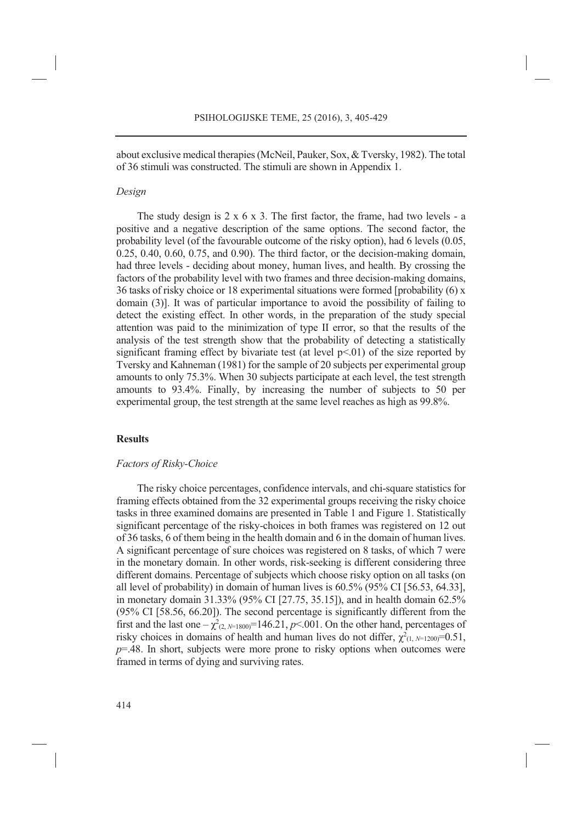about exclusive medical therapies (McNeil, Pauker, Sox, & Tversky, 1982). The total of 36 stimuli was constructed. The stimuli are shown in Appendix 1.

#### *Design*

The study design is 2 x 6 x 3. The first factor, the frame, had two levels - a positive and a negative description of the same options. The second factor, the probability level (of the favourable outcome of the risky option), had 6 levels (0.05, 0.25, 0.40, 0.60, 0.75, and 0.90). The third factor, or the decision-making domain, had three levels - deciding about money, human lives, and health. By crossing the factors of the probability level with two frames and three decision-making domains, 36 tasks of risky choice or 18 experimental situations were formed [probability (6) x domain (3)]. It was of particular importance to avoid the possibility of failing to detect the existing effect. In other words, in the preparation of the study special attention was paid to the minimization of type II error, so that the results of the analysis of the test strength show that the probability of detecting a statistically significant framing effect by bivariate test (at level  $p<0$ ) of the size reported by Tversky and Kahneman (1981) for the sample of 20 subjects per experimental group amounts to only 75.3%. When 30 subjects participate at each level, the test strength amounts to 93.4%. Finally, by increasing the number of subjects to 50 per experimental group, the test strength at the same level reaches as high as 99.8%.

### **Results**

#### *Factors of Risky-Choice*

The risky choice percentages, confidence intervals, and chi-square statistics for framing effects obtained from the 32 experimental groups receiving the risky choice tasks in three examined domains are presented in Table 1 and Figure 1. Statistically significant percentage of the risky-choices in both frames was registered on 12 out of 36 tasks, 6 of them being in the health domain and 6 in the domain of human lives. A significant percentage of sure choices was registered on 8 tasks, of which 7 were in the monetary domain. In other words, risk-seeking is different considering three different domains. Percentage of subjects which choose risky option on all tasks (on all level of probability) in domain of human lives is 60.5% (95% CI [56.53, 64.33], in monetary domain 31.33% (95% CI [27.75, 35.15]), and in health domain 62.5% (95% CI [58.56, 66.20]). The second percentage is significantly different from the first and the last one  $-\chi^2_{(2, N=1800)}$ =146.21, *p*<.001. On the other hand, percentages of risky choices in domains of health and human lives do not differ,  $\chi^2_{(1, N=1200)} = 0.51$ , *p*=.48. In short, subjects were more prone to risky options when outcomes were framed in terms of dying and surviving rates.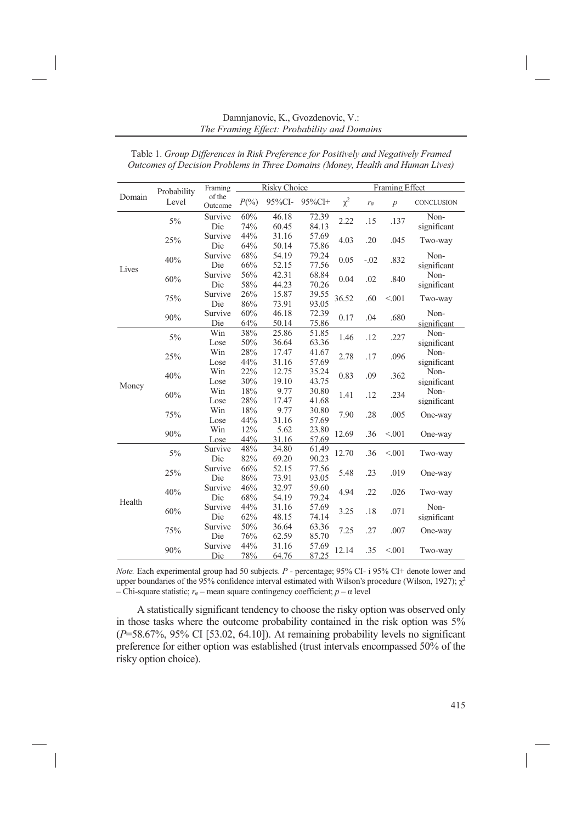| Domain | Probability<br>Level | Framing           | <b>Risky Choice</b> |        |        | <b>Framing Effect</b> |               |                |             |
|--------|----------------------|-------------------|---------------------|--------|--------|-----------------------|---------------|----------------|-------------|
|        |                      | of the<br>Outcome | $P(\frac{0}{0})$    | 95%CI- | 95%CI+ | $\chi^2$              | $r_{\varphi}$ | $\overline{p}$ | CONCLUSION  |
| Lives  | 5%                   | Survive           | 60%                 | 46.18  | 72.39  | 2.22                  | .15           | .137           | Non-        |
|        |                      | Die               | 74%                 | 60.45  | 84.13  |                       |               |                | significant |
|        | 25%                  | Survive           | 44%                 | 31.16  | 57.69  | 4.03                  | .20           | .045           | Two-way     |
|        |                      | Die               | 64%                 | 50.14  | 75.86  |                       |               |                |             |
|        | 40%                  | Survive           | 68%                 | 54.19  | 79.24  | 0.05                  | $-.02$        | .832           | Non-        |
|        |                      | Die               | 66%                 | 52.15  | 77.56  |                       |               |                | significant |
|        | 60%                  | Survive           | 56%                 | 42.31  | 68.84  | 0.04                  | .02           | .840           | Non-        |
|        |                      | Die               | 58%                 | 44.23  | 70.26  |                       |               |                | significant |
|        | 75%                  | Survive           | 26%                 | 15.87  | 39.55  | 36.52                 | .60           | < 0.001        | Two-way     |
|        |                      | Die               | 86%                 | 73.91  | 93.05  |                       |               |                |             |
|        | 90%                  | Survive           | 60%                 | 46.18  | 72.39  | 0.17                  | .04           | .680           | Non-        |
|        |                      | Die               | 64%                 | 50.14  | 75.86  |                       |               |                | significant |
| Money  | $5\%$                | Win               | 38%                 | 25.86  | 51.85  | 1.46                  | .12           | .227           | Non-        |
|        |                      | Lose              | 50%                 | 36.64  | 63.36  |                       |               |                | significant |
|        | 25%                  | Win               | 28%                 | 17.47  | 41.67  | 2.78                  | .17           | .096           | Non-        |
|        |                      | Lose              | 44%                 | 31.16  | 57.69  |                       |               |                | significant |
|        | 40%                  | Win               | 22%                 | 12.75  | 35.24  | 0.83                  | .09           | .362           | Non-        |
|        |                      | Lose              | 30%                 | 19.10  | 43.75  |                       |               |                | significant |
|        | 60%                  | Win               | $18\%$              | 9.77   | 30.80  | 1.41                  | .12           | .234           | Non-        |
|        |                      | Lose              | 28%                 | 17.47  | 41.68  |                       |               |                | significant |
|        | 75%                  | Win               | 18%                 | 9.77   | 30.80  | 7.90                  | .28           | .005           | One-way     |
|        |                      | Lose              | 44%                 | 31.16  | 57.69  |                       |               |                |             |
|        | 90%                  | Win               | 12%                 | 5.62   | 23.80  | 12.69                 | .36           | < 0.001        | One-way     |
|        |                      | Lose              | 44%                 | 31.16  | 57.69  |                       |               |                |             |
| Health | $5\%$                | Survive           | 48%                 | 34.80  | 61.49  | 12.70                 | .36           | < 0.001        | Two-way     |
|        |                      | Die               | 82%                 | 69.20  | 90.23  |                       |               |                |             |
|        | 25%                  | Survive           | 66%                 | 52.15  | 77.56  | 5.48                  | .23           | .019           | One-way     |
|        |                      | Die               | 86%                 | 73.91  | 93.05  |                       |               |                |             |
|        | 40%                  | Survive           | 46%                 | 32.97  | 59.60  | 4.94                  | .22           | .026           | Two-way     |
|        |                      | Die               | 68%                 | 54.19  | 79.24  |                       |               |                |             |
|        | 60%                  | Survive           | 44%                 | 31.16  | 57.69  | 3.25                  | .18           | .071           | Non-        |
|        |                      | Die               | 62%                 | 48.15  | 74.14  |                       |               |                | significant |
|        | 75%                  | Survive           | 50%                 | 36.64  | 63.36  | 7.25                  | .27           | .007           | One-way     |
|        |                      | Die               | 76%                 | 62.59  | 85.70  |                       |               |                |             |
|        | 90%                  | Survive           | 44%                 | 31.16  | 57.69  | 12.14                 | .35           | < 0.001        | Two-way     |
|        |                      | Die               | 78%                 | 64.76  | 87.25  |                       |               |                |             |

Table 1. *Group Differences in Risk Preference for Positively and Negatively Framed Outcomes of Decision Problems in Three Domains (Money, Health and Human Lives)* 

*Note.* Each experimental group had 50 subjects. *P* - percentage; 95% CI- i 95% CI+ denote lower and upper boundaries of the 95% confidence interval estimated with Wilson's procedure (Wilson, 1927);  $\gamma^2$ – Chi-square statistic; *rφ* – mean square contingency coefficient; *p* – α level

A statistically significant tendency to choose the risky option was observed only in those tasks where the outcome probability contained in the risk option was 5% (*P*=58.67%, 95% CI [53.02, 64.10]). At remaining probability levels no significant preference for either option was established (trust intervals encompassed 50% of the risky option choice).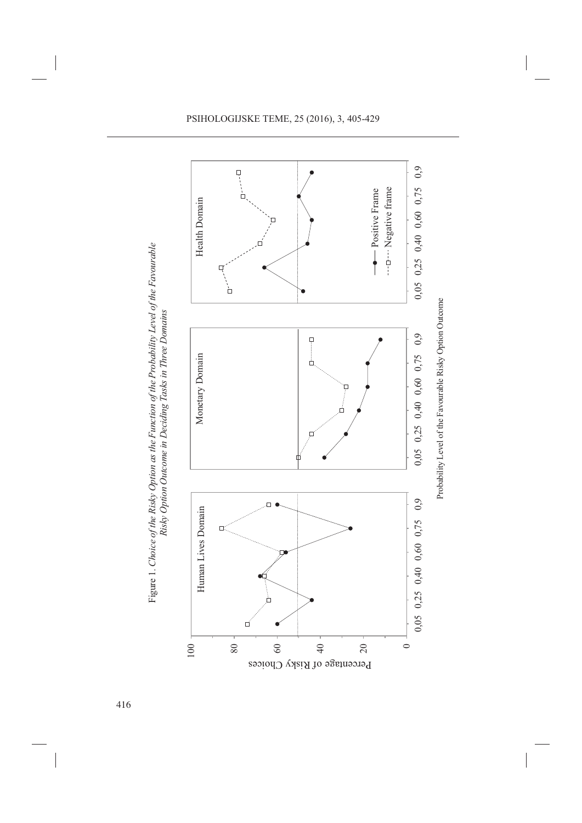

Figure 1. Choice of the Risky Option as the Function of the Probability Level of the Favourable Figure 1. *Choice of the Risky Option as the Function of the Probability Level of the Favourable*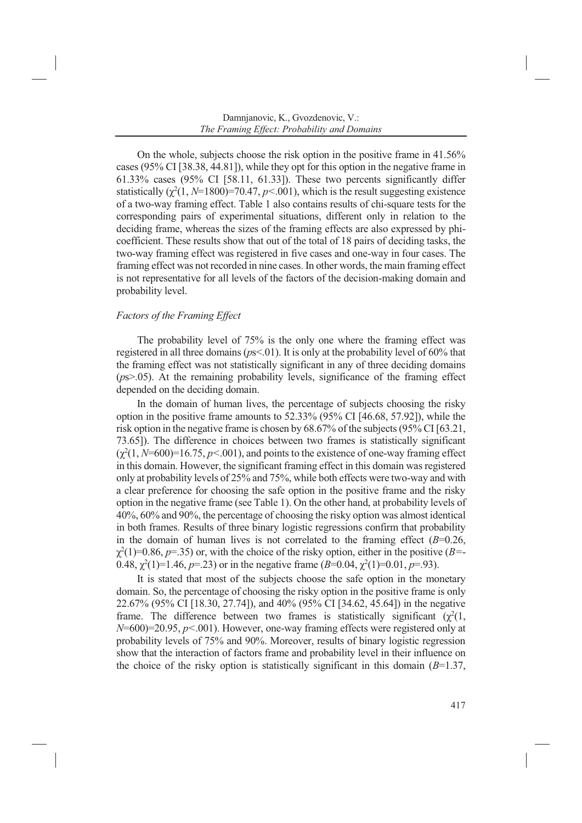On the whole, subjects choose the risk option in the positive frame in 41.56% cases (95% CI [38.38, 44.81]), while they opt for this option in the negative frame in 61.33% cases (95% CI [58.11, 61.33]). These two percents significantly differ statistically  $(\chi^2(1, N=1800)=70.47, p<0.01)$ , which is the result suggesting existence of a two-way framing effect. Table 1 also contains results of chi-square tests for the corresponding pairs of experimental situations, different only in relation to the deciding frame, whereas the sizes of the framing effects are also expressed by phicoefficient. These results show that out of the total of 18 pairs of deciding tasks, the two-way framing effect was registered in five cases and one-way in four cases. The framing effect was not recorded in nine cases. In other words, the main framing effect is not representative for all levels of the factors of the decision-making domain and probability level.

### *Factors of the Framing Effect*

The probability level of 75% is the only one where the framing effect was registered in all three domains (*p*s<.01). It is only at the probability level of 60% that the framing effect was not statistically significant in any of three deciding domains (*p*s>.05). At the remaining probability levels, significance of the framing effect depended on the deciding domain.

In the domain of human lives, the percentage of subjects choosing the risky option in the positive frame amounts to  $\overline{52.33\%}$  (95% CI [46.68, 57.92]), while the risk option in the negative frame is chosen by 68.67% of the subjects (95% CI [63.21, 73.65]). The difference in choices between two frames is statistically significant  $(\chi^2(1, N=600)=16.75, p<0.01)$ , and points to the existence of one-way framing effect in this domain. However, the significant framing effect in this domain was registered only at probability levels of 25% and 75%, while both effects were two-way and with a clear preference for choosing the safe option in the positive frame and the risky option in the negative frame (see Table 1). On the other hand, at probability levels of 40%, 60% and 90%, the percentage of choosing the risky option was almost identical in both frames. Results of three binary logistic regressions confirm that probability in the domain of human lives is not correlated to the framing effect  $(B=0.26,$  $\chi^2(1)=0.86, p=.35$ ) or, with the choice of the risky option, either in the positive (*B*=-0.48,  $\chi^2(1)=1.46$ ,  $p=.23$ ) or in the negative frame ( $B=0.04$ ,  $\chi^2(1)=0.01$ ,  $p=.93$ ).

It is stated that most of the subjects choose the safe option in the monetary domain. So, the percentage of choosing the risky option in the positive frame is only 22.67% (95% CI [18.30, 27.74]), and 40% (95% CI [34.62, 45.64]) in the negative frame. The difference between two frames is statistically significant  $(\chi^2(1,$ *N*=600)=20.95, *p<*.001). However, one-way framing effects were registered only at probability levels of 75% and 90%. Moreover, results of binary logistic regression show that the interaction of factors frame and probability level in their influence on the choice of the risky option is statistically significant in this domain (*B*=1.37,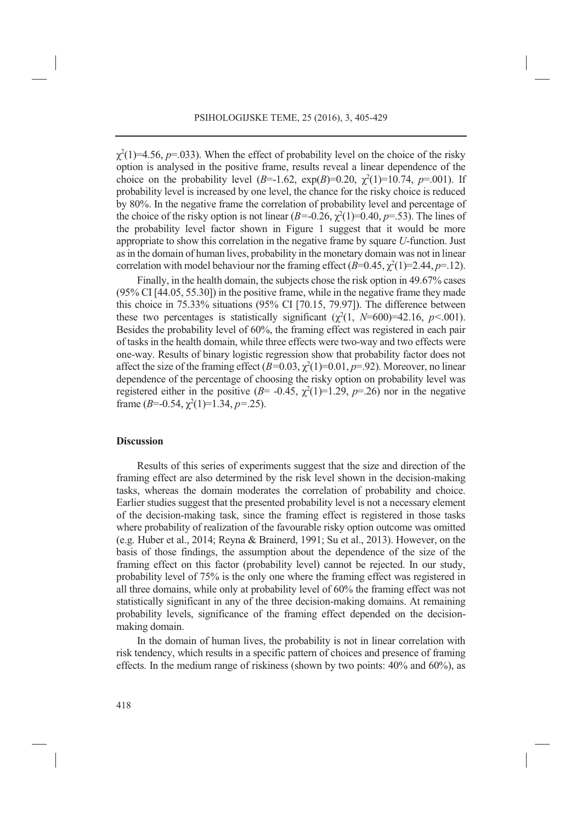$\chi^2(1)=4.56$ ,  $p=.033$ ). When the effect of probability level on the choice of the risky option is analysed in the positive frame, results reveal a linear dependence of the choice on the probability level  $(B=1.62, \exp(B)=0.20, \chi^2(1)=10.74, p=.001)$ . If probability level is increased by one level, the chance for the risky choice is reduced by 80%. In the negative frame the correlation of probability level and percentage of the choice of the risky option is not linear  $(B=0.26, \chi^2(1)=0.40, p=.53)$ . The lines of the probability level factor shown in Figure 1 suggest that it would be more appropriate to show this correlation in the negative frame by square *U*-function. Just as in the domain of human lives, probability in the monetary domain was not in linear correlation with model behaviour nor the framing effect  $(B=0.45, \chi^2(1)=2.44, p=.12)$ .

Finally, in the health domain, the subjects chose the risk option in 49.67% cases (95% CI [44.05, 55.30]) in the positive frame, while in the negative frame they made this choice in 75.33% situations (95% CI [70.15, 79.97]). The difference between these two percentages is statistically significant  $(\chi^2(1, N=600)=42.16, p<.001)$ . Besides the probability level of 60%, the framing effect was registered in each pair of tasks in the health domain, while three effects were two-way and two effects were one-way. Results of binary logistic regression show that probability factor does not affect the size of the framing effect  $(B=0.03, \chi^2(1)=0.01, p=.92)$ . Moreover, no linear dependence of the percentage of choosing the risky option on probability level was registered either in the positive ( $B$ = -0.45,  $\chi^2(1)$ =1.29,  $p$ =.26) nor in the negative frame  $(B=0.54, \chi^2(1)=1.34, p=.25)$ .

#### **Discussion**

Results of this series of experiments suggest that the size and direction of the framing effect are also determined by the risk level shown in the decision-making tasks, whereas the domain moderates the correlation of probability and choice. Earlier studies suggest that the presented probability level is not a necessary element of the decision-making task, since the framing effect is registered in those tasks where probability of realization of the favourable risky option outcome was omitted (e.g. Huber et al., 2014; Reyna & Brainerd, 1991; Su et al., 2013). However, on the basis of those findings, the assumption about the dependence of the size of the framing effect on this factor (probability level) cannot be rejected. In our study, probability level of 75% is the only one where the framing effect was registered in all three domains, while only at probability level of 60% the framing effect was not statistically significant in any of the three decision-making domains. At remaining probability levels, significance of the framing effect depended on the decisionmaking domain.

In the domain of human lives, the probability is not in linear correlation with risk tendency, which results in a specific pattern of choices and presence of framing effects. In the medium range of riskiness (shown by two points: 40% and 60%), as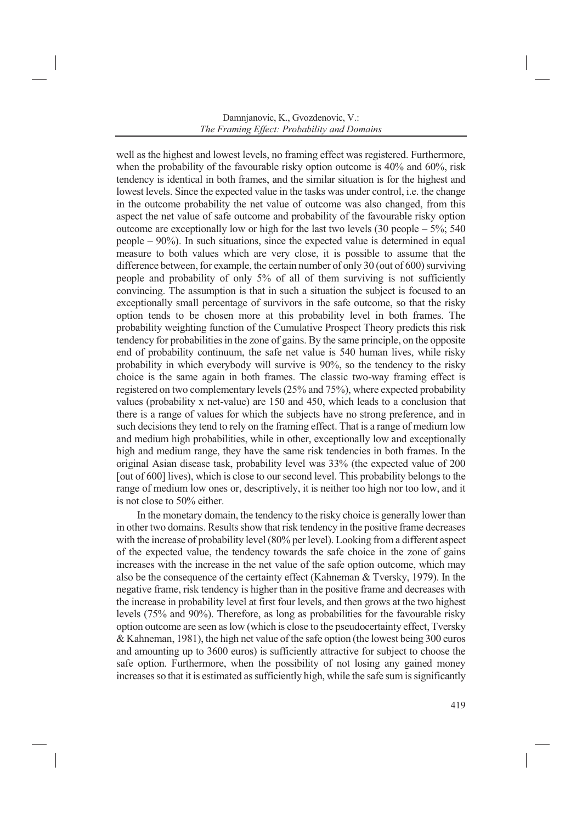well as the highest and lowest levels, no framing effect was registered. Furthermore, when the probability of the favourable risky option outcome is 40% and 60%, risk tendency is identical in both frames, and the similar situation is for the highest and lowest levels. Since the expected value in the tasks was under control, i.e. the change in the outcome probability the net value of outcome was also changed, from this aspect the net value of safe outcome and probability of the favourable risky option outcome are exceptionally low or high for the last two levels  $(30 \text{ people} - 5\% \cdot 540$ people – 90%). In such situations, since the expected value is determined in equal measure to both values which are very close, it is possible to assume that the difference between, for example, the certain number of only 30 (out of 600) surviving people and probability of only 5% of all of them surviving is not sufficiently convincing. The assumption is that in such a situation the subject is focused to an exceptionally small percentage of survivors in the safe outcome, so that the risky option tends to be chosen more at this probability level in both frames. The probability weighting function of the Cumulative Prospect Theory predicts this risk tendency for probabilities in the zone of gains. By the same principle, on the opposite end of probability continuum, the safe net value is 540 human lives, while risky probability in which everybody will survive is 90%, so the tendency to the risky choice is the same again in both frames. The classic two-way framing effect is registered on two complementary levels (25% and 75%), where expected probability values (probability x net-value) are 150 and 450, which leads to a conclusion that there is a range of values for which the subjects have no strong preference, and in such decisions they tend to rely on the framing effect. That is a range of medium low and medium high probabilities, while in other, exceptionally low and exceptionally high and medium range, they have the same risk tendencies in both frames. In the original Asian disease task, probability level was 33% (the expected value of 200 [out of 600] lives), which is close to our second level. This probability belongs to the range of medium low ones or, descriptively, it is neither too high nor too low, and it is not close to 50% either.

In the monetary domain, the tendency to the risky choice is generally lower than in other two domains. Results show that risk tendency in the positive frame decreases with the increase of probability level (80% per level). Looking from a different aspect of the expected value, the tendency towards the safe choice in the zone of gains increases with the increase in the net value of the safe option outcome, which may also be the consequence of the certainty effect (Kahneman & Tversky, 1979). In the negative frame, risk tendency is higher than in the positive frame and decreases with the increase in probability level at first four levels, and then grows at the two highest levels (75% and 90%). Therefore, as long as probabilities for the favourable risky option outcome are seen as low (which is close to the pseudocertainty effect, Tversky & Kahneman, 1981), the high net value of the safe option (the lowest being 300 euros and amounting up to 3600 euros) is sufficiently attractive for subject to choose the safe option. Furthermore, when the possibility of not losing any gained money increases so that it is estimated as sufficiently high, while the safe sum is significantly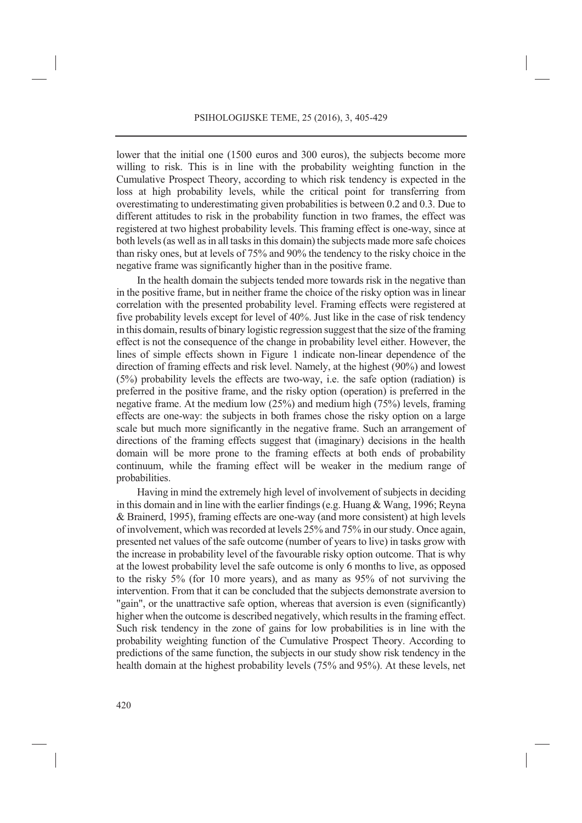lower that the initial one (1500 euros and 300 euros), the subjects become more willing to risk. This is in line with the probability weighting function in the Cumulative Prospect Theory, according to which risk tendency is expected in the loss at high probability levels, while the critical point for transferring from overestimating to underestimating given probabilities is between 0.2 and 0.3. Due to different attitudes to risk in the probability function in two frames, the effect was registered at two highest probability levels. This framing effect is one-way, since at both levels (as well as in all tasks in this domain) the subjects made more safe choices than risky ones, but at levels of 75% and 90% the tendency to the risky choice in the negative frame was significantly higher than in the positive frame.

In the health domain the subjects tended more towards risk in the negative than in the positive frame, but in neither frame the choice of the risky option was in linear correlation with the presented probability level. Framing effects were registered at five probability levels except for level of 40%. Just like in the case of risk tendency in this domain, results of binary logistic regression suggest that the size of the framing effect is not the consequence of the change in probability level either. However, the lines of simple effects shown in Figure 1 indicate non-linear dependence of the direction of framing effects and risk level. Namely, at the highest (90%) and lowest (5%) probability levels the effects are two-way, i.e. the safe option (radiation) is preferred in the positive frame, and the risky option (operation) is preferred in the negative frame. At the medium low (25%) and medium high (75%) levels, framing effects are one-way: the subjects in both frames chose the risky option on a large scale but much more significantly in the negative frame. Such an arrangement of directions of the framing effects suggest that (imaginary) decisions in the health domain will be more prone to the framing effects at both ends of probability continuum, while the framing effect will be weaker in the medium range of probabilities.

Having in mind the extremely high level of involvement of subjects in deciding in this domain and in line with the earlier findings (e.g. Huang & Wang, 1996; Reyna & Brainerd, 1995), framing effects are one-way (and more consistent) at high levels of involvement, which was recorded at levels 25% and 75% in our study. Once again, presented net values of the safe outcome (number of years to live) in tasks grow with the increase in probability level of the favourable risky option outcome. That is why at the lowest probability level the safe outcome is only 6 months to live, as opposed to the risky 5% (for 10 more years), and as many as 95% of not surviving the intervention. From that it can be concluded that the subjects demonstrate aversion to "gain", or the unattractive safe option, whereas that aversion is even (significantly) higher when the outcome is described negatively, which results in the framing effect. Such risk tendency in the zone of gains for low probabilities is in line with the probability weighting function of the Cumulative Prospect Theory. According to predictions of the same function, the subjects in our study show risk tendency in the health domain at the highest probability levels (75% and 95%). At these levels, net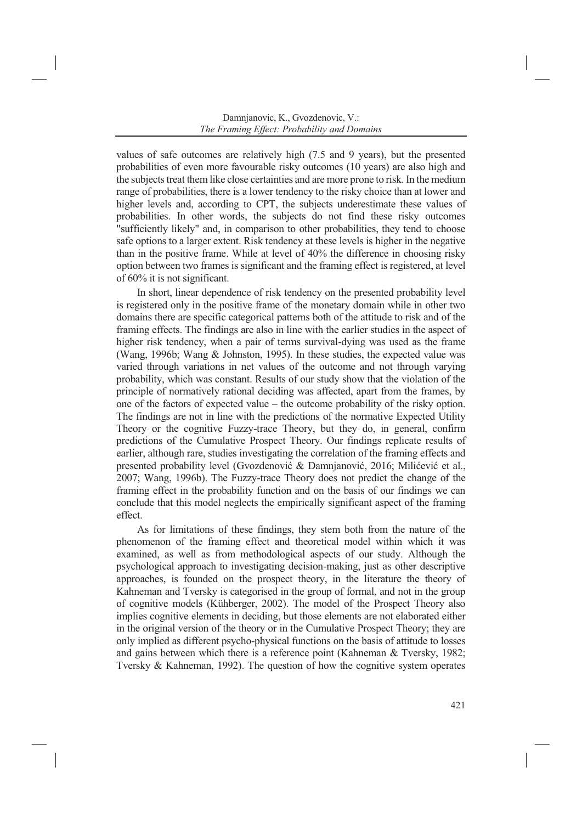values of safe outcomes are relatively high (7.5 and 9 years), but the presented probabilities of even more favourable risky outcomes (10 years) are also high and the subjects treat them like close certainties and are more prone to risk. In the medium range of probabilities, there is a lower tendency to the risky choice than at lower and higher levels and, according to CPT, the subjects underestimate these values of probabilities. In other words, the subjects do not find these risky outcomes "sufficiently likely" and, in comparison to other probabilities, they tend to choose safe options to a larger extent. Risk tendency at these levels is higher in the negative than in the positive frame. While at level of 40% the difference in choosing risky option between two frames is significant and the framing effect is registered, at level of 60% it is not significant.

In short, linear dependence of risk tendency on the presented probability level is registered only in the positive frame of the monetary domain while in other two domains there are specific categorical patterns both of the attitude to risk and of the framing effects. The findings are also in line with the earlier studies in the aspect of higher risk tendency, when a pair of terms survival-dying was used as the frame (Wang, 1996b; Wang & Johnston, 1995). In these studies, the expected value was varied through variations in net values of the outcome and not through varying probability, which was constant. Results of our study show that the violation of the principle of normatively rational deciding was affected, apart from the frames, by one of the factors of expected value – the outcome probability of the risky option. The findings are not in line with the predictions of the normative Expected Utility Theory or the cognitive Fuzzy-trace Theory, but they do, in general, confirm predictions of the Cumulative Prospect Theory. Our findings replicate results of earlier, although rare, studies investigating the correlation of the framing effects and presented probability level (Gvozdenović & Damnjanović, 2016; Milićević et al., 2007; Wang, 1996b). The Fuzzy-trace Theory does not predict the change of the framing effect in the probability function and on the basis of our findings we can conclude that this model neglects the empirically significant aspect of the framing effect.

As for limitations of these findings, they stem both from the nature of the phenomenon of the framing effect and theoretical model within which it was examined, as well as from methodological aspects of our study. Although the psychological approach to investigating decision-making, just as other descriptive approaches, is founded on the prospect theory, in the literature the theory of Kahneman and Tversky is categorised in the group of formal, and not in the group of cognitive models (Kühberger, 2002). The model of the Prospect Theory also implies cognitive elements in deciding, but those elements are not elaborated either in the original version of the theory or in the Cumulative Prospect Theory; they are only implied as different psycho-physical functions on the basis of attitude to losses and gains between which there is a reference point (Kahneman & Tversky, 1982; Tversky & Kahneman, 1992). The question of how the cognitive system operates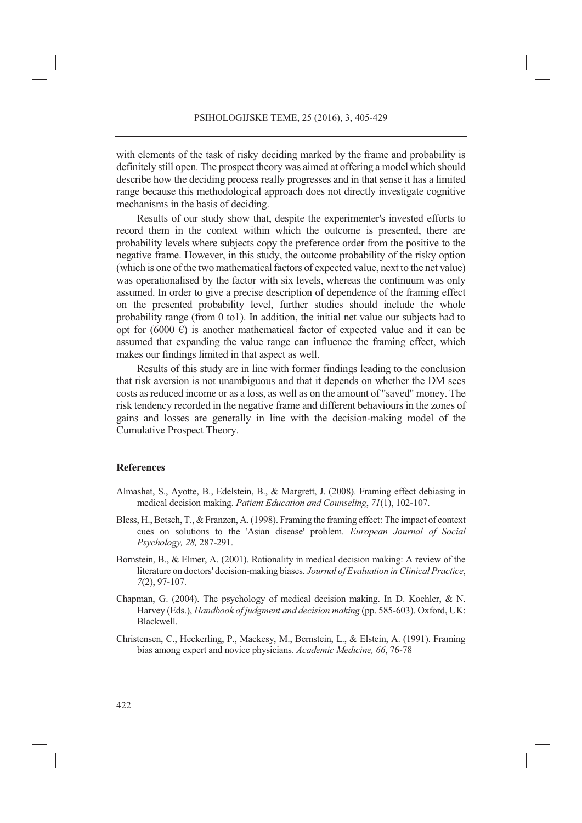with elements of the task of risky deciding marked by the frame and probability is definitely still open. The prospect theory was aimed at offering a model which should describe how the deciding process really progresses and in that sense it has a limited range because this methodological approach does not directly investigate cognitive mechanisms in the basis of deciding.

Results of our study show that, despite the experimenter's invested efforts to record them in the context within which the outcome is presented, there are probability levels where subjects copy the preference order from the positive to the negative frame. However, in this study, the outcome probability of the risky option (which is one of the two mathematical factors of expected value, next to the net value) was operationalised by the factor with six levels, whereas the continuum was only assumed. In order to give a precise description of dependence of the framing effect on the presented probability level, further studies should include the whole probability range (from 0 to1). In addition, the initial net value our subjects had to opt for (6000  $\epsilon$ ) is another mathematical factor of expected value and it can be assumed that expanding the value range can influence the framing effect, which makes our findings limited in that aspect as well.

Results of this study are in line with former findings leading to the conclusion that risk aversion is not unambiguous and that it depends on whether the DM sees costs as reduced income or as a loss, as well as on the amount of "saved" money. The risk tendency recorded in the negative frame and different behaviours in the zones of gains and losses are generally in line with the decision-making model of the Cumulative Prospect Theory.

#### **References**

- Almashat, S., Ayotte, B., Edelstein, B., & Margrett, J. (2008). Framing effect debiasing in medical decision making. *Patient Education and Counseling*, *71*(1), 102-107.
- Bless, H., Betsch, T., & Franzen, A. (1998). Framing the framing effect: The impact of context cues on solutions to the 'Asian disease' problem. *European Journal of Social Psychology, 28,* 287-291.
- Bornstein, B., & Elmer, A. (2001). Rationality in medical decision making: A review of the literature on doctors' decision-making biases*. Journal of Evaluation in Clinical Practice*, *7*(2), 97-107.
- Chapman, G. (2004). The psychology of medical decision making. In D. Koehler, & N. Harvey (Eds.), *Handbook of judgment and decision making* (pp. 585-603). Oxford, UK: Blackwell.
- Christensen, C., Heckerling, P., Mackesy, M., Bernstein, L., & Elstein, A. (1991). Framing bias among expert and novice physicians. *Academic Medicine, 66*, 76-78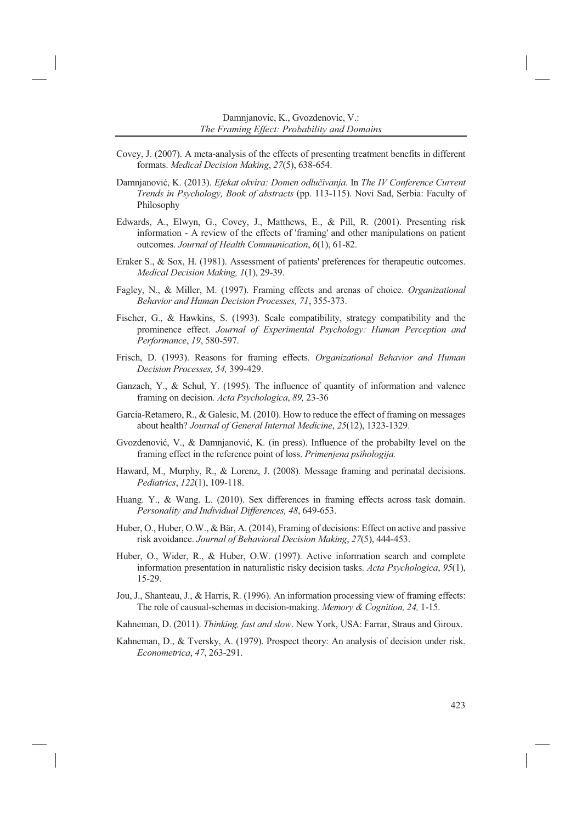- Covey, J. (2007). A meta-analysis of the effects of presenting treatment benefits in different formats. *Medical Decision Making*, *27*(5), 638-654.
- Damnjanović, K. (2013). *Efekat okvira: Domen odlučivanja.* In *The IV Conference Current Trends in Psychology, Book of abstracts* (pp. 113-115). Novi Sad, Serbia: Faculty of Philosophy
- Edwards, A., Elwyn, G., Covey, J., Matthews, E., & Pill, R. (2001). Presenting risk information - A review of the effects of 'framing' and other manipulations on patient outcomes. *Journal of Health Communication*, *6*(1), 61-82.
- Eraker S., & Sox, H. (1981). Assessment of patients' preferences for therapeutic outcomes. *Medical Decision Making, 1*(1), 29-39.
- Fagley, N., & Miller, M. (1997). Framing effects and arenas of choice. *Organizational Behavior and Human Decision Processes, 71*, 355-373.
- Fischer, G., & Hawkins, S. (1993). Scale compatibility, strategy compatibility and the prominence effect. *Journal of Experimental Psychology: Human Perception and Performance*, *19*, 580-597.
- Frisch, D. (1993). Reasons for framing effects. *Organizational Behavior and Human Decision Processes, 54,* 399-429.
- Ganzach, Y., & Schul, Y. (1995). The influence of quantity of information and valence framing on decision. *Acta Psychologica*, *89,* 23-36
- Garcia-Retamero, R., & Galesic, M. (2010). How to reduce the effect of framing on messages about health? *Journal of General Internal Medicine*, *25*(12), 1323-1329.
- Gvozdenović, V., & Damnjanović, K. (in press). Influence of the probabilty level on the framing effect in the reference point of loss. *Primenjena psihologija.*
- Haward, M., Murphy, R., & Lorenz, J. (2008). Message framing and perinatal decisions. *Pediatrics*, *122*(1), 109-118.
- Huang. Y., & Wang. L. (2010). Sex differences in framing effects across task domain. *Personality and Individual Differences, 48*, 649-653.
- Huber, O., Huber, O.W., & Bär, A. (2014), Framing of decisions: Effect on active and passive risk avoidance. *Journal of Behavioral Decision Making*, *27*(5), 444-453.
- Huber, O., Wider, R., & Huber, O.W. (1997). Active information search and complete information presentation in naturalistic risky decision tasks. *Acta Psychologica*, *95*(1), 15-29.
- Jou, J., Shanteau, J., & Harris, R. (1996). An information processing view of framing effects: The role of causual-schemas in decision-making. *Memory & Cognition, 24,* 1-15.
- Kahneman, D. (2011). *Thinking, fast and slow*. New York, USA: Farrar, Straus and Giroux.
- Kahneman, D., & Tversky, A. (1979). Prospect theory: An analysis of decision under risk. *Econometrica*, *47*, 263-291.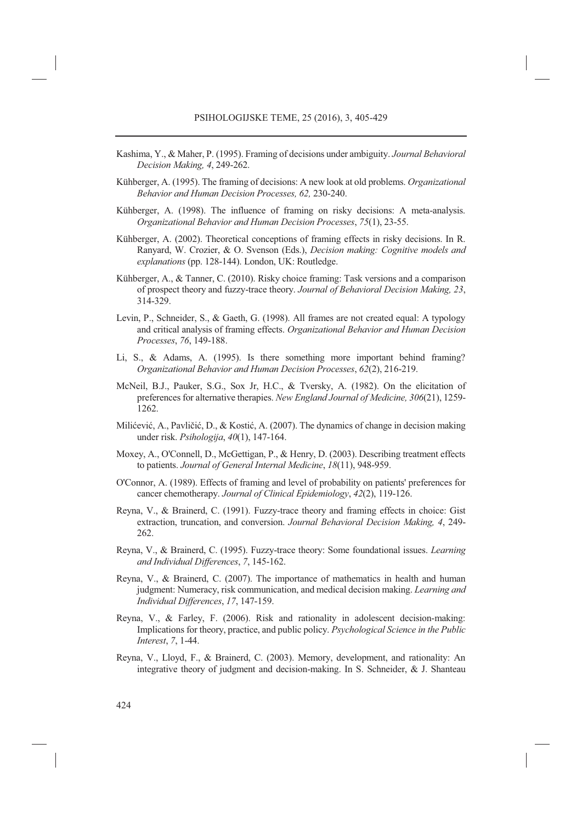- Kashima, Y., & Maher, P. (1995). Framing of decisions under ambiguity. *Journal Behavioral Decision Making, 4*, 249-262.
- Kühberger, A. (1995). The framing of decisions: A new look at old problems. *Organizational Behavior and Human Decision Processes, 62,* 230-240.
- Kühberger, A. (1998). The influence of framing on risky decisions: A meta-analysis. *Organizational Behavior and Human Decision Processes*, *75*(1), 23-55.
- Kühberger, A. (2002). Theoretical conceptions of framing effects in risky decisions. In R. Ranyard, W. Crozier, & O. Svenson (Eds.), *Decision making: Cognitive models and explanations* (pp. 128-144). London, UK: Routledge.
- Kühberger, A., & Tanner, C. (2010). Risky choice framing: Task versions and a comparison of prospect theory and fuzzy-trace theory. *Journal of Behavioral Decision Making, 23*, 314-329.
- Levin, P., Schneider, S., & Gaeth, G. (1998). All frames are not created equal: A typology and critical analysis of framing effects. *Organizational Behavior and Human Decision Processes*, *76*, 149-188.
- Li, S., & Adams, A. (1995). Is there something more important behind framing? *Organizational Behavior and Human Decision Processes*, *62*(2), 216-219.
- McNeil, B.J., Pauker, S.G., Sox Jr, H.C., & Tversky, A. (1982). On the elicitation of preferences for alternative therapies. *New England Journal of Medicine, 306*(21), 1259- 1262.
- Milićević, A., Pavličić, D., & Kostić, A. (2007). The dynamics of change in decision making under risk. *Psihologija*, *40*(1), 147-164.
- Moxey, A., O'Connell, D., McGettigan, P., & Henry, D. (2003). Describing treatment effects to patients. *Journal of General Internal Medicine*, *18*(11), 948-959.
- O'Connor, A. (1989). Effects of framing and level of probability on patients' preferences for cancer chemotherapy. *Journal of Clinical Epidemiology*, *42*(2), 119-126.
- Reyna, V., & Brainerd, C. (1991). Fuzzy-trace theory and framing effects in choice: Gist extraction, truncation, and conversion. *Journal Behavioral Decision Making, 4*, 249- 262.
- Reyna, V., & Brainerd, C. (1995). Fuzzy-trace theory: Some foundational issues. *Learning and Individual Differences*, *7*, 145-162.
- Reyna, V., & Brainerd, C. (2007). The importance of mathematics in health and human judgment: Numeracy, risk communication, and medical decision making. *Learning and Individual Differences*, *17*, 147-159.
- Reyna, V., & Farley, F. (2006). Risk and rationality in adolescent decision-making: Implications for theory, practice, and public policy. *Psychological Science in the Public Interest*, *7*, 1-44.
- Reyna, V., Lloyd, F., & Brainerd, C. (2003). Memory, development, and rationality: An integrative theory of judgment and decision-making. In S. Schneider, & J. Shanteau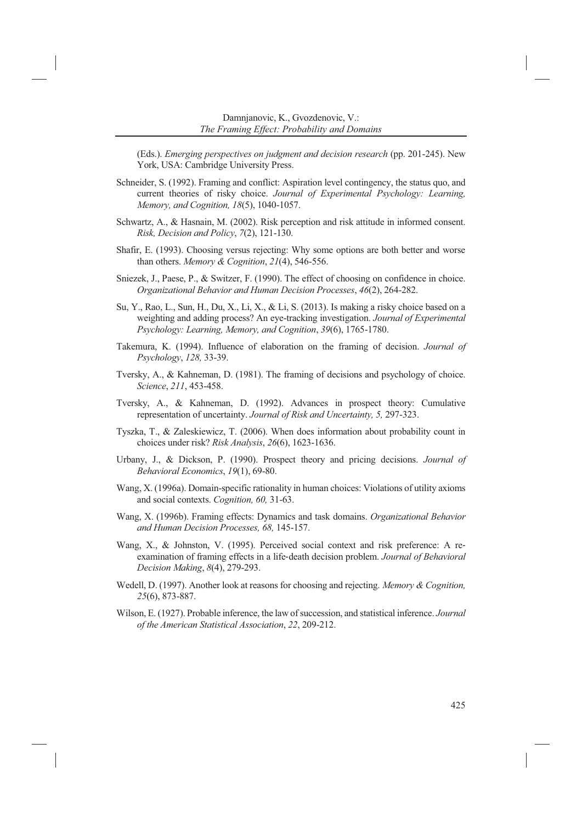(Eds.). *Emerging perspectives on judgment and decision research* (pp. 201-245). New York, USA: Cambridge University Press.

- Schneider, S. (1992). Framing and conflict: Aspiration level contingency, the status quo, and current theories of risky choice. *Journal of Experimental Psychology: Learning, Memory, and Cognition, 18*(5), 1040-1057.
- Schwartz, A., & Hasnain, M. (2002). Risk perception and risk attitude in informed consent. *Risk, Decision and Policy*, *7*(2), 121-130.
- Shafir, E. (1993). Choosing versus rejecting: Why some options are both better and worse than others. *Memory & Cognition*, *21*(4), 546-556.
- Sniezek, J., Paese, P., & Switzer, F. (1990). The effect of choosing on confidence in choice. *Organizational Behavior and Human Decision Processes*, *46*(2), 264-282.
- Su, Y., Rao, L., Sun, H., Du, X., Li, X., & Li, S. (2013). Is making a risky choice based on a weighting and adding process? An eye-tracking investigation. *Journal of Experimental Psychology: Learning, Memory, and Cognition*, *39*(6), 1765-1780.
- Takemura, K. (1994). Influence of elaboration on the framing of decision. *Journal of Psychology*, *128,* 33-39.
- Tversky, A., & Kahneman, D. (1981). The framing of decisions and psychology of choice. *Science*, *211*, 453-458.
- Tversky, A., & Kahneman, D. (1992). Advances in prospect theory: Cumulative representation of uncertainty. *Journal of Risk and Uncertainty, 5,* 297-323.
- Tyszka, T., & Zaleskiewicz, T. (2006). When does information about probability count in choices under risk? *Risk Analysis*, *26*(6), 1623-1636.
- Urbany, J., & Dickson, P. (1990). Prospect theory and pricing decisions. *Journal of Behavioral Economics*, *19*(1), 69-80.
- Wang, X. (1996a). Domain-specific rationality in human choices: Violations of utility axioms and social contexts. *Cognition, 60,* 31-63.
- Wang, X. (1996b). Framing effects: Dynamics and task domains. *Organizational Behavior and Human Decision Processes, 68,* 145-157.
- Wang, X., & Johnston, V. (1995). Perceived social context and risk preference: A reexamination of framing effects in a life-death decision problem. *Journal of Behavioral Decision Making*, *8*(4), 279-293.
- Wedell, D. (1997). Another look at reasons for choosing and rejecting. *Memory & Cognition, 25*(6), 873-887.
- Wilson, E. (1927). Probable inference, the law of succession, and statistical inference. *Journal of the American Statistical Association*, *22*, 209-212.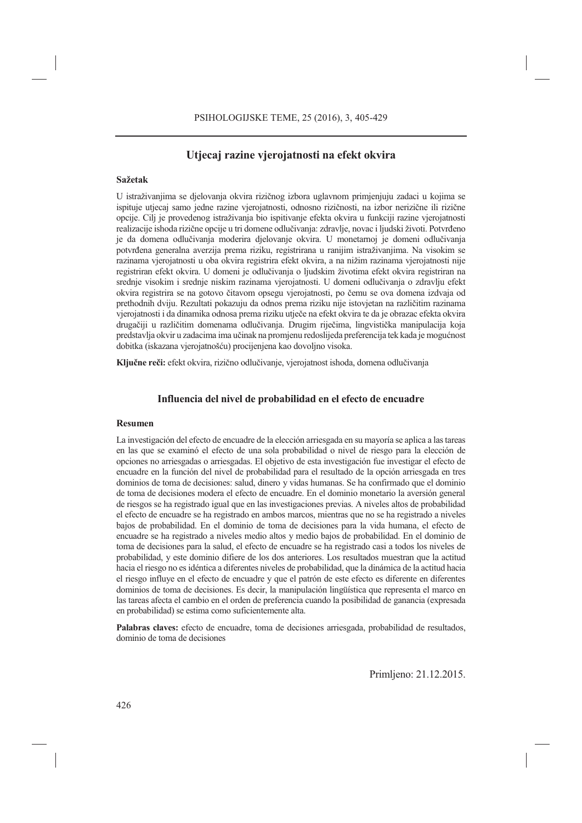## **Utjecaj razine vjerojatnosti na efekt okvira**

#### **Sažetak**

U istraživanjima se djelovanja okvira rizičnog izbora uglavnom primjenjuju zadaci u kojima se ispituje utjecaj samo jedne razine vjerojatnosti, odnosno rizičnosti, na izbor nerizične ili rizične opcije. Cilj je provedenog istraživanja bio ispitivanje efekta okvira u funkciji razine vjerojatnosti realizacije ishoda rizične opcije u tri domene odlučivanja: zdravlje, novac i ljudski životi. Potvrđeno je da domena odlučivanja moderira djelovanje okvira. U monetarnoj je domeni odlučivanja potvrđena generalna averzija prema riziku, registrirana u ranijim istraživanjima. Na visokim se razinama vjerojatnosti u oba okvira registrira efekt okvira, a na nižim razinama vjerojatnosti nije registriran efekt okvira. U domeni je odlučivanja o ljudskim životima efekt okvira registriran na srednje visokim i srednje niskim razinama vjerojatnosti. U domeni odlučivanja o zdravlju efekt okvira registrira se na gotovo čitavom opsegu vjerojatnosti, po čemu se ova domena izdvaja od prethodnih dviju. Rezultati pokazuju da odnos prema riziku nije istovjetan na različitim razinama vjerojatnosti i da dinamika odnosa prema riziku utječe na efekt okvira te da je obrazac efekta okvira drugačiji u različitim domenama odlučivanja. Drugim riječima, lingvistička manipulacija koja predstavlja okvir u zadacima ima učinak na promjenu redoslijeda preferencija tek kada je mogućnost dobitka (iskazana vjerojatnošću) procijenjena kao dovoljno visoka.

**Ključne reči:** efekt okvira, rizično odlučivanje, vjerojatnost ishoda, domena odlučivanja

### **Influencia del nivel de probabilidad en el efecto de encuadre**

#### **Resumen**

La investigación del efecto de encuadre de la elección arriesgada en su mayoría se aplica a las tareas en las que se examinó el efecto de una sola probabilidad o nivel de riesgo para la elección de opciones no arriesgadas o arriesgadas. El objetivo de esta investigación fue investigar el efecto de encuadre en la función del nivel de probabilidad para el resultado de la opción arriesgada en tres dominios de toma de decisiones: salud, dinero y vidas humanas. Se ha confirmado que el dominio de toma de decisiones modera el efecto de encuadre. En el dominio monetario la aversión general de riesgos se ha registrado igual que en las investigaciones previas. A niveles altos de probabilidad el efecto de encuadre se ha registrado en ambos marcos, mientras que no se ha registrado a niveles bajos de probabilidad. En el dominio de toma de decisiones para la vida humana, el efecto de encuadre se ha registrado a niveles medio altos y medio bajos de probabilidad. En el dominio de toma de decisiones para la salud, el efecto de encuadre se ha registrado casi a todos los niveles de probabilidad, y este dominio difiere de los dos anteriores. Los resultados muestran que la actitud hacia el riesgo no es idéntica a diferentes niveles de probabilidad, que la dinámica de la actitud hacia el riesgo influye en el efecto de encuadre y que el patrón de este efecto es diferente en diferentes dominios de toma de decisiones. Es decir, la manipulación lingüística que representa el marco en las tareas afecta el cambio en el orden de preferencia cuando la posibilidad de ganancia (expresada en probabilidad) se estima como suficientemente alta.

**Palabras claves:** efecto de encuadre, toma de decisiones arriesgada, probabilidad de resultados, dominio de toma de decisiones

Primljeno: 21.12.2015.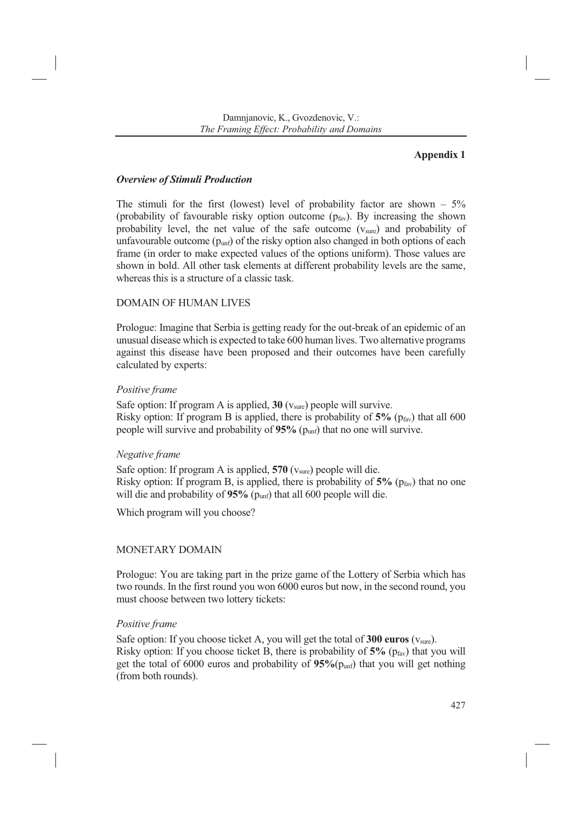## **Appendix 1**

## *Overview of Stimuli Production*

The stimuli for the first (lowest) level of probability factor are shown  $-5\%$ (probability of favourable risky option outcome  $(p<sub>far</sub>)$ . By increasing the shown probability level, the net value of the safe outcome (vsure) and probability of unfavourable outcome  $(p_{unf})$  of the risky option also changed in both options of each frame (in order to make expected values of the options uniform). Those values are shown in bold. All other task elements at different probability levels are the same, whereas this is a structure of a classic task.

## DOMAIN OF HUMAN LIVES

Prologue: Imagine that Serbia is getting ready for the out-break of an epidemic of an unusual disease which is expected to take 600 human lives. Two alternative programs against this disease have been proposed and their outcomes have been carefully calculated by experts:

## *Positive frame*

Safe option: If program A is applied,  $30 \text{ (v<sub>sure</sub>)}$  people will survive. Risky option: If program B is applied, there is probability of  $5\%$  ( $p_{\text{fav}}$ ) that all 600 people will survive and probability of **95%** (punf) that no one will survive.

## *Negative frame*

Safe option: If program A is applied, **570** (vsure) people will die. Risky option: If program B, is applied, there is probability of  $5\%$  ( $p_{\text{fav}}$ ) that no one will die and probability of 95% (p<sub>unf</sub>) that all 600 people will die.

Which program will you choose?

## MONETARY DOMAIN

Prologue: You are taking part in the prize game of the Lottery of Serbia which has two rounds. In the first round you won 6000 euros but now, in the second round, you must choose between two lottery tickets:

## *Positive frame*

Safe option: If you choose ticket A, you will get the total of **300 euros** (v<sub>sure</sub>). Risky option: If you choose ticket B, there is probability of  $5\%$  ( $p_{\text{far}}$ ) that you will get the total of 6000 euros and probability of **95%**(punf) that you will get nothing (from both rounds).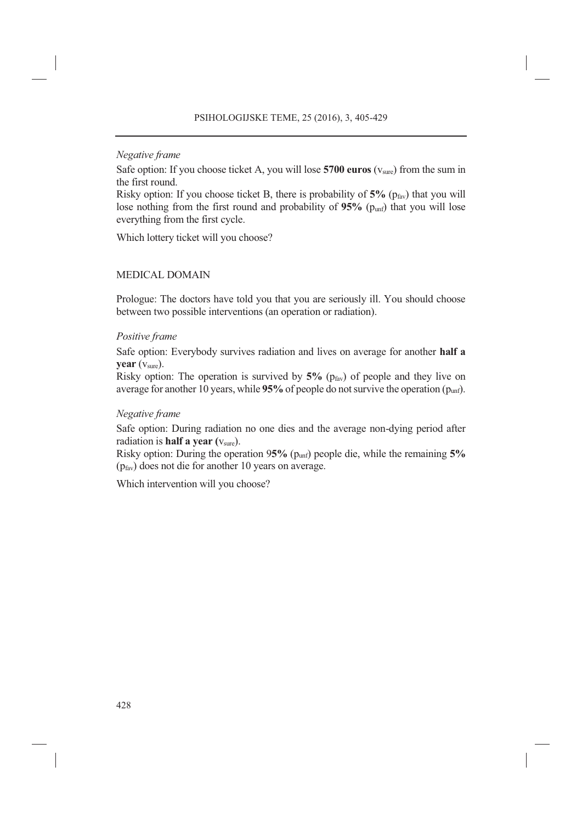### *Negative frame*

Safe option: If you choose ticket A, you will lose **5700 euros** (vsure) from the sum in the first round.

Risky option: If you choose ticket B, there is probability of  $5\%$  ( $p_{\text{far}}$ ) that you will lose nothing from the first round and probability of  $95\%$  ( $p_{unf}$ ) that you will lose everything from the first cycle.

Which lottery ticket will you choose?

### MEDICAL DOMAIN

Prologue: The doctors have told you that you are seriously ill. You should choose between two possible interventions (an operation or radiation).

### *Positive frame*

Safe option: Everybody survives radiation and lives on average for another **half a year** (vsure).

Risky option: The operation is survived by  $5\%$  ( $p_{\text{fav}}$ ) of people and they live on average for another 10 years, while **95%** of people do not survive the operation (punf).

### *Negative frame*

Safe option: During radiation no one dies and the average non-dying period after radiation is **half a year** ( $v_{\text{sure}}$ ).

Risky option: During the operation 9**5%** (punf) people die, while the remaining **5%** (pfav) does not die for another 10 years on average.

Which intervention will you choose?